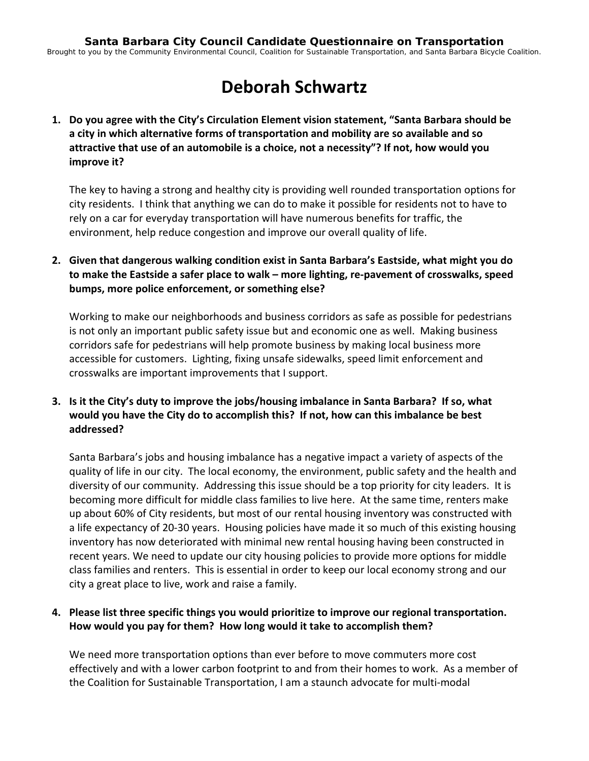# **Deborah Schwartz**

**1. Do you agree with the City's Circulation Element vision statement, "Santa Barbara should be a city in which alternative forms of transportation and mobility are so available and so attractive that use of an automobile is a choice, not a necessity"? If not, how would you improve it?**

The key to having a strong and healthy city is providing well rounded transportation options for city residents. I think that anything we can do to make it possible for residents not to have to rely on a car for everyday transportation will have numerous benefits for traffic, the environment, help reduce congestion and improve our overall quality of life.

**2. Given that dangerous walking condition exist in Santa Barbara's Eastside, what might you do to make the Eastside a safer place to walk – more lighting, re‐pavement of crosswalks, speed bumps, more police enforcement, or something else?**

Working to make our neighborhoods and business corridors as safe as possible for pedestrians is not only an important public safety issue but and economic one as well. Making business corridors safe for pedestrians will help promote business by making local business more accessible for customers. Lighting, fixing unsafe sidewalks, speed limit enforcement and crosswalks are important improvements that I support.

## **3. Is it the City's duty to improve the jobs/housing imbalance in Santa Barbara? If so, what would you have the City do to accomplish this? If not, how can this imbalance be best addressed?**

Santa Barbara's jobs and housing imbalance has a negative impact a variety of aspects of the quality of life in our city. The local economy, the environment, public safety and the health and diversity of our community. Addressing this issue should be a top priority for city leaders. It is becoming more difficult for middle class families to live here. At the same time, renters make up about 60% of City residents, but most of our rental housing inventory was constructed with a life expectancy of 20‐30 years. Housing policies have made it so much of this existing housing inventory has now deteriorated with minimal new rental housing having been constructed in recent years. We need to update our city housing policies to provide more options for middle class families and renters. This is essential in order to keep our local economy strong and our city a great place to live, work and raise a family.

#### **4. Please list three specific things you would prioritize to improve our regional transportation. How would you pay for them? How long would it take to accomplish them?**

We need more transportation options than ever before to move commuters more cost effectively and with a lower carbon footprint to and from their homes to work. As a member of the Coalition for Sustainable Transportation, I am a staunch advocate for multi‐modal